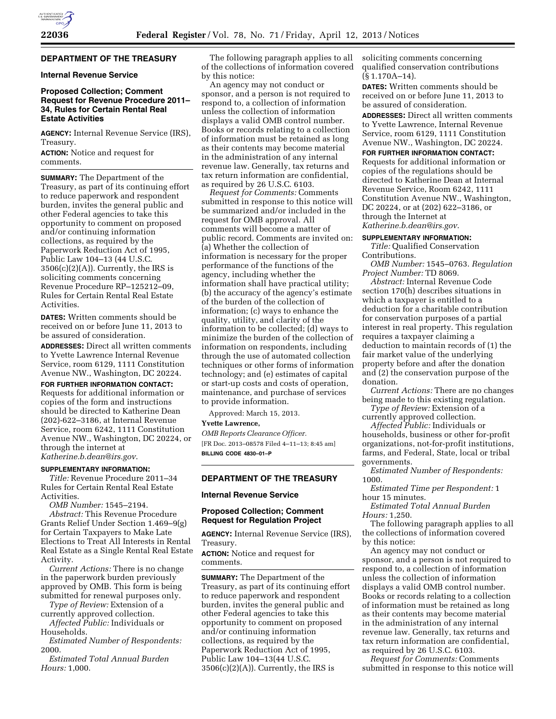# **DEPARTMENT OF THE TREASURY**

## **Internal Revenue Service**

# **Proposed Collection; Comment Request for Revenue Procedure 2011– 34, Rules for Certain Rental Real Estate Activities**

**AGENCY:** Internal Revenue Service (IRS), Treasury.

**ACTION:** Notice and request for comments.

**SUMMARY:** The Department of the Treasury, as part of its continuing effort to reduce paperwork and respondent burden, invites the general public and other Federal agencies to take this opportunity to comment on proposed and/or continuing information collections, as required by the Paperwork Reduction Act of 1995, Public Law 104–13 (44 U.S.C.  $3506(c)(2)(A)$ . Currently, the IRS is soliciting comments concerning Revenue Procedure RP–125212–09, Rules for Certain Rental Real Estate Activities.

**DATES:** Written comments should be received on or before June 11, 2013 to be assured of consideration.

**ADDRESSES:** Direct all written comments to Yvette Lawrence Internal Revenue Service, room 6129, 1111 Constitution Avenue NW., Washington, DC 20224.

**FOR FURTHER INFORMATION CONTACT:** 

Requests for additional information or copies of the form and instructions should be directed to Katherine Dean (202)-622–3186, at Internal Revenue Service, room 6242, 1111 Constitution Avenue NW., Washington, DC 20224, or through the internet at *[Katherine.b.dean@irs.gov](mailto:Katherine.b.dean@irs.gov)*.

## **SUPPLEMENTARY INFORMATION:**

*Title:* Revenue Procedure 2011–34 Rules for Certain Rental Real Estate Activities.

*OMB Number:* 1545–2194.

*Abstract:* This Revenue Procedure Grants Relief Under Section 1.469–9(g) for Certain Taxpayers to Make Late Elections to Treat All Interests in Rental Real Estate as a Single Rental Real Estate Activity.

*Current Actions:* There is no change in the paperwork burden previously approved by OMB. This form is being submitted for renewal purposes only.

*Type of Review:* Extension of a currently approved collection.

*Affected Public:* Individuals or Households.

*Estimated Number of Respondents:*  2000.

*Estimated Total Annual Burden Hours:* 1,000.

The following paragraph applies to all of the collections of information covered by this notice:

An agency may not conduct or sponsor, and a person is not required to respond to, a collection of information unless the collection of information displays a valid OMB control number. Books or records relating to a collection of information must be retained as long as their contents may become material in the administration of any internal revenue law. Generally, tax returns and tax return information are confidential, as required by 26 U.S.C. 6103.

*Request for Comments:* Comments submitted in response to this notice will be summarized and/or included in the request for OMB approval. All comments will become a matter of public record. Comments are invited on: (a) Whether the collection of information is necessary for the proper performance of the functions of the agency, including whether the information shall have practical utility; (b) the accuracy of the agency's estimate of the burden of the collection of information; (c) ways to enhance the quality, utility, and clarity of the information to be collected; (d) ways to minimize the burden of the collection of information on respondents, including through the use of automated collection techniques or other forms of information technology; and (e) estimates of capital or start-up costs and costs of operation, maintenance, and purchase of services to provide information.

Approved: March 15, 2013.

#### **Yvette Lawrence,**

*OMB Reports Clearance Officer.*  [FR Doc. 2013–08578 Filed 4–11–13; 8:45 am] **BILLING CODE 4830–01–P** 

## **DEPARTMENT OF THE TREASURY**

**Internal Revenue Service** 

## **Proposed Collection; Comment Request for Regulation Project**

**AGENCY:** Internal Revenue Service (IRS), Treasury.

**ACTION:** Notice and request for comments.

**SUMMARY:** The Department of the Treasury, as part of its continuing effort to reduce paperwork and respondent burden, invites the general public and other Federal agencies to take this opportunity to comment on proposed and/or continuing information collections, as required by the Paperwork Reduction Act of 1995, Public Law 104–13(44 U.S.C.  $3506(c)(2)(A)$ . Currently, the IRS is

soliciting comments concerning qualified conservation contributions (§ 1.170A–14).

**DATES:** Written comments should be received on or before June 11, 2013 to be assured of consideration.

**ADDRESSES:** Direct all written comments to Yvette Lawrence, Internal Revenue Service, room 6129, 1111 Constitution Avenue NW., Washington, DC 20224.

**FOR FURTHER INFORMATION CONTACT:**  Requests for additional information or copies of the regulations should be directed to Katherine Dean at Internal Revenue Service, Room 6242, 1111 Constitution Avenue NW., Washington, DC 20224, or at (202) 622–3186, or through the Internet at *[Katherine.b.dean@irs.gov](mailto:Katherine.b.dean@irs.gov)*.

**SUPPLEMENTARY INFORMATION:** 

*Title:* Qualified Conservation Contributions.

*OMB Number:* 1545–0763. *Regulation Project Number:* TD 8069.

*Abstract:* Internal Revenue Code section 170(h) describes situations in which a taxpayer is entitled to a deduction for a charitable contribution for conservation purposes of a partial interest in real property. This regulation requires a taxpayer claiming a deduction to maintain records of (1) the fair market value of the underlying property before and after the donation and (2) the conservation purpose of the donation.

*Current Actions:* There are no changes being made to this existing regulation.

*Type of Review:* Extension of a currently approved collection.

*Affected Public:* Individuals or households, business or other for-profit organizations, not-for-profit institutions, farms, and Federal, State, local or tribal governments.

*Estimated Number of Respondents:*  1000.

*Estimated Time per Respondent:* 1 hour 15 minutes.

*Estimated Total Annual Burden Hours:* 1,250.

The following paragraph applies to all the collections of information covered by this notice:

An agency may not conduct or sponsor, and a person is not required to respond to, a collection of information unless the collection of information displays a valid OMB control number. Books or records relating to a collection of information must be retained as long as their contents may become material in the administration of any internal revenue law. Generally, tax returns and tax return information are confidential, as required by 26 U.S.C. 6103.

*Request for Comments:* Comments submitted in response to this notice will